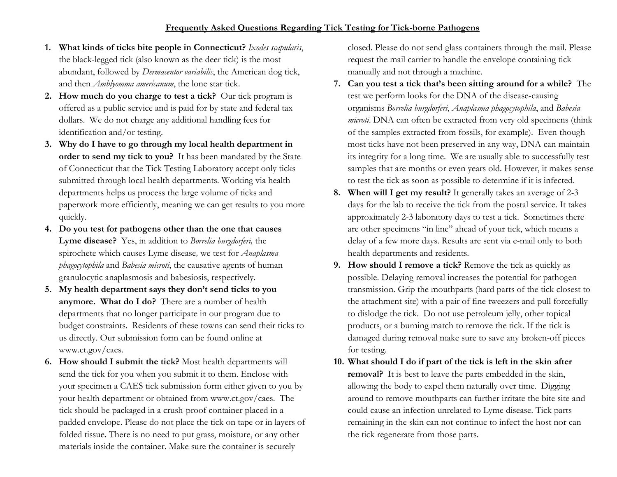- **1. What kinds of ticks bite people in Connecticut?** *Ixodes scapularis*, the black-legged tick (also known as the deer tick) is the most abundant, followed by *Dermacentor variabilis*, the American dog tick, and then *Amblyomma americanum*, the lone star tick.
- **2. How much do you charge to test a tick?** Our tick program is offered as a public service and is paid for by state and federal tax dollars. We do not charge any additional handling fees for identification and/or testing.
- **3. Why do I have to go through my local health department in order to send my tick to you?** It has been mandated by the State of Connecticut that the Tick Testing Laboratory accept only ticks submitted through local health departments. Working via health departments helps us process the large volume of ticks and paperwork more efficiently, meaning we can get results to you more quickly.
- **4. Do you test for pathogens other than the one that causes Lyme disease?** Yes, in addition to *Borrelia burgdorferi,* the spirochete which causes Lyme disease*,* we test for *Anaplasma phagocytophila* and *Babesia microti*, the causative agents of human granulocytic anaplasmosis and babesiosis, respectively.
- **5. My health department says they don't send ticks to you anymore. What do I do?** There are a number of health departments that no longer participate in our program due to budget constraints. Residents of these towns can send their ticks to us directly. Our submission form can be found online at www.ct.gov/caes.
- **6. How should I submit the tick?** Most health departments will send the tick for you when you submit it to them. Enclose with your specimen a CAES tick submission form either given to you by your health department or obtained from www.ct.gov/caes. The tick should be packaged in a crush-proof container placed in a padded envelope. Please do not place the tick on tape or in layers of folded tissue. There is no need to put grass, moisture, or any other materials inside the container. Make sure the container is securely

closed. Please do not send glass containers through the mail. Please request the mail carrier to handle the envelope containing tick manually and not through a machine.

- **7. Can you test a tick that's been sitting around for a while?** The test we perform looks for the DNA of the disease-causing organisms *Borrelia burgdorferi*, *Anaplasma phagocytophila*, and *Babesia microti*. DNA can often be extracted from very old specimens (think of the samples extracted from fossils, for example). Even though most ticks have not been preserved in any way, DNA can maintain its integrity for a long time. We are usually able to successfully test samples that are months or even years old. However, it makes sense to test the tick as soon as possible to determine if it is infected.
- **8. When will I get my result?** It generally takes an average of 2-3 days for the lab to receive the tick from the postal service. It takes approximately 2-3 laboratory days to test a tick. Sometimes there are other specimens "in line" ahead of your tick, which means a delay of a few more days. Results are sent via e-mail only to both health departments and residents.
- **9. How should I remove a tick?** Remove the tick as quickly as possible. Delaying removal increases the potential for pathogen transmission. Grip the mouthparts (hard parts of the tick closest to the attachment site) with a pair of fine tweezers and pull forcefully to dislodge the tick. Do not use petroleum jelly, other topical products, or a burning match to remove the tick. If the tick is damaged during removal make sure to save any broken-off pieces for testing.
- **10. What should I do if part of the tick is left in the skin after removal?** It is best to leave the parts embedded in the skin, allowing the body to expel them naturally over time. Digging around to remove mouthparts can further irritate the bite site and could cause an infection unrelated to Lyme disease. Tick parts remaining in the skin can not continue to infect the host nor can the tick regenerate from those parts.